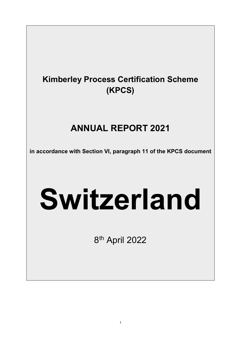# **Kimberley Process Certification Scheme (KPCS)**

# **ANNUAL REPORT 2021**

**in accordance with Section VI, paragraph 11 of the KPCS document**

# **Switzerland**

8th April 2022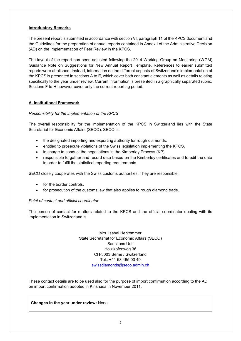# **Introductory Remarks**

The present report is submitted in accordance with section VI, paragraph 11 of the KPCS document and the Guidelines for the preparation of annual reports contained in Annex I of the Administrative Decision (AD) on the Implementation of Peer Review in the KPCS.

The layout of the report has been adjusted following the 2014 Working Group on Monitoring (WGM) Guidance Note on Suggestions for New Annual Report Template. References to earlier submitted reports were abolished. Instead, information on the different aspects of Switzerland's implementation of the KPCS is presented in sections A to E, which cover both constant elements as well as details relating specifically to the year under review. Current information is presented in a graphically separated rubric. Sections F to H however cover only the current reporting period.

# **A. Institutional Framework**

# *Responsibility for the implementation of the KPCS*

The overall responsibility for the implementation of the KPCS in Switzerland lies with the State Secretariat for Economic Affairs (SECO). SECO is:

- the designated importing and exporting authority for rough diamonds.
- entitled to prosecute violations of the Swiss legislation implementing the KPCS.
- in charge to conduct the negotiations in the Kimberley Process (KP).
- responsible to gather and record data based on the Kimberley certificates and to edit the data in order to fulfil the statistical reporting requirements.

SECO closely cooperates with the Swiss customs authorities. They are responsible:

- for the border controls.
- for prosecution of the customs law that also applies to rough diamond trade.

#### *Point of contact and official coordinator*

The person of contact for matters related to the KPCS and the official coordinator dealing with its implementation in Switzerland is

> Mrs. Isabel Herkommer State Secretariat for Economic Affairs (SECO) Sanctions Unit Holzikofenweg 36 CH-3003 Berne / Switzerland Tel.: +41 58 465 03 49 [swissdiamonds@seco.admin.ch](mailto:swissdiamonds@seco.admin.ch)

These contact details are to be used also for the purpose of import confirmation according to the AD on import confirmation adopted in Kinshasa in November 2011.

**Changes in the year under review:** None.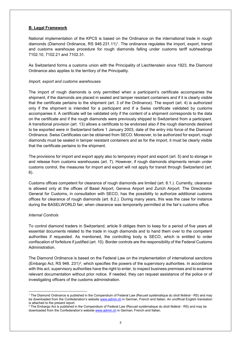# **B. Legal Framework**

National implementation of the KPCS is based on the Ordinance on the international trade in rough diamonds (Diamond Ordinance, RS 946.23[1](#page-2-0).11)<sup>1</sup>. The ordinance regulates the import, export, transit and customs warehouse procedure for rough diamonds falling under customs tariff subheadings 7102.10, 7102.21 and 7102.31.

As Switzerland forms a customs union with the Principality of Liechtenstein since 1923, the Diamond Ordinance also applies to the territory of the Principality.

#### *Import, export and customs warehouses*

The import of rough diamonds is only permitted when a participant's certificate accompanies the shipment, if the diamonds are placed in sealed and tamper resistant containers and if it is clearly visible that the certificate pertains to the shipment (art. 3 of the Ordinance). The export (art. 4) is authorized only if the shipment is intended for a participant and if a Swiss certificate validated by customs accompanies it. A certificate will be validated only if the content of a shipment corresponds to the data on the certificate and if the rough diamonds were previously shipped to Switzerland from a participant. A transitional provision (art. 13) allows a certificate to be endorsed also if the rough diamonds destined to be exported were in Switzerland before 1 January 2003, date of the entry into force of the Diamond Ordinance. Swiss Certificates can be obtained from SECO. Moreover, to be authorized for export, rough diamonds must be sealed in tamper resistant containers and as for the import, it must be clearly visible that the certificate pertains to the shipment.

The provisions for import and export apply also to temporary import and export (art. 5) and to storage in and release from customs warehouses (art. 7). However, if rough diamonds shipments remain under customs control, the measures for import and export will not apply for transit through Switzerland (art. 6).

Customs offices competent for clearance of rough diamonds are limited (art. 8.1.). Currently, clearance is allowed only at the offices of Basel Airport, Geneva Airport and Zurich Airport. The Directorate-General for Customs, in consultation with SECO, has the possibility to authorize additional customs offices for clearance of rough diamonds (art. 8.2.). During many years, this was the case for instance during the BASELWORLD fair, when clearance was temporarily permitted at the fair's customs office.

#### *Internal Controls*

To control diamond traders in Switzerland, article 9 obliges them to keep for a period of five years all essential documents related to the trade in rough diamonds and to hand them over to the competent authorities if requested. As mentioned, the controlling body is SECO, which is entitled to order confiscation of forfeiture if justified (art. 10). Border controls are the responsibility of the Federal Customs Administration.

The Diamond Ordinance is based on the Federal Law on the implementation of international sanctions (Embargo Act, RS 946. 231)<sup>2</sup>, which specifies the powers of the supervisory authorities. In accordance with this act, supervisory authorities have the right to enter, to inspect business premises and to examine relevant documentation without prior notice. If needed, they can request assistance of the police or of investigating officers of the customs administration.

<span id="page-2-0"></span><sup>&</sup>lt;u>.</u> <sup>1</sup> The Diamond Ordinance is published in the Compendium of Federal Law (Recueil systématique du droit fédéral - RS) and may be downloaded from the Confederation's website [www.admin.ch](http://www.admin.ch/) in German, French and Italian. An unofficial English translation is attached to the present report.

<span id="page-2-1"></span> $2$  The Embargo Act is published in the Compendium of Federal Law (Recueil systématique du droit fédéral - RS) and may be downloaded from the Confederation's websit[e www.admin.ch](http://www.admin.ch/) in German, French and Italian.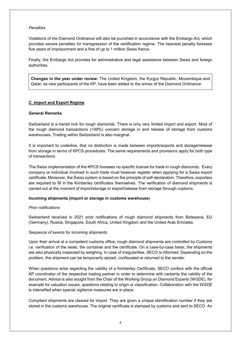#### *Penalties*

Violations of the Diamond Ordinance will also be punished in accordance with the Embargo Act, which provides severe penalties for transgression of the certification regime. The heaviest penalty foresees five years of imprisonment and a fine of up to 1 million Swiss francs.

Finally, the Embargo Act provides for administrative and legal assistance between Swiss and foreign authorities.

**Changes in the year under review:** The United Kingdom, the Kyrgyz Republic, Mozambique and Qatar, as new participants of the KP, have been added to the annex of the Diamond Ordinance

#### **C. Import and Export Regime**

#### **General Remarks**

Switzerland is a transit hub for rough diamonds. There is only very limited import and export. Most of the rough diamond transactions (>99%) concern storage in and release of storage from customs warehouses. Trading within Switzerland is also marginal.

It is important to underline, that no distinction is made between imports/exports and storage/release from storage in terms of KPCS procedures: The same requirements and provisions apply for both type of transactions.

The Swiss implementation of the KPCS foresees no specific license for trade in rough diamonds. Every company or individual involved in such trade must however register when applying for a Swiss export certificate. Moreover, the Swiss system is based on the principle of self-declaration. Therefore, exporters are required to fill in the Kimberley certificates themselves. The verification of diamond shipments is carried out at the moment of import/storage or export/release from storage through customs.

#### **Incoming shipments (import or storage in customs warehouse**)

#### *Prior notifications*

Switzerland received in 2021 prior notifications of rough diamond shipments from Botswana, EU (Germany), Russia, Singapore, South Africa, United Kingdom and the United Arab Emirates.

#### *Sequence of events for incoming shipments*

Upon their arrival at a competent customs office, rough diamond shipments are controlled by Customs i.e. verification of the seals, the container and the certificate. On a case-by-case basis, the shipments are also physically inspected by weighing. In case of irregularities, SECO is informed. Depending on the problem, the shipment can be temporarily seized, confiscated or returned to the sender.

When questions arise regarding the validity of a Kimberley Certificate, SECO confers with the official KP coordinator of the respective trading partner in order to determine with certainty the validity of the document. Advice is also sought from the Chair of the Working Group on Diamond Experts (WGDE), for example for valuation issues, questions relating to origin or classification. Collaboration with the WGDE is intensified when special vigilance measures are in place.

Compliant shipments are cleared for import. They are given a unique identification number if they are stored in the customs warehouse. The original certificate is stamped by customs and sent to SECO. An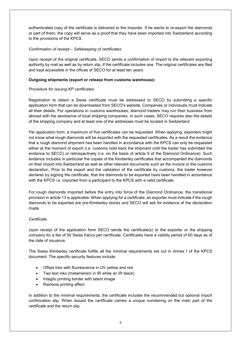authenticated copy of the certificate is delivered to the importer. If he wants to re-export the diamonds or part of them, the copy will serve as a proof that they have been imported into Switzerland according to the provisions of the KPCS.

# *Confirmation of receipt – Safekeeping of certificates*

Upon receipt of the original certificate, SECO sends a confirmation of import to the relevant exporting authority by mail as well as by return slip, if the certificate includes one. The original certificates are filed and kept accessible in the offices of SECO for at least ten years.

# **Outgoing shipments (export or release from customs warehouse)**

# *Procedure for issuing KP certificates*

Registration to obtain a Swiss certificate must be addressed to SECO by submitting a specific application form that can be downloaded from SECO's website. Companies or individuals must indicate all their details. For operations in customs warehouses, diamond traders may run their business from abroad with the assistance of local shipping companies. In such cases, SECO requires also the details of the shipping company and at least one of the addresses must be located in Switzerland.

Per application form, a maximum of five certificates can be requested. When applying, exporters might not know what rough diamonds will be exported with the requested certificates. As a result the evidence that a rough diamond shipment has been handled in accordance with the KPCS can only be requested either at the moment of export (i.e. customs hold back the shipment until the trader has submitted the evidence to SECO) or retrospectively (i.e. on the basis of article 9 of the Diamond Ordinance). Such evidence includes in particular the copies of the Kimberley certificates that accompanied the diamonds on their import into Switzerland as well as other relevant documents such as the invoice or the customs declaration. Prior to the export and the validation of the certificate by customs, the trader however declares by signing the certificate, that the diamonds to be exported have been handled in accordance with the KPCS i.e. imported from a participant to the KPCS with a valid certificate.

For rough diamonds imported before the entry into force of the Diamond Ordinance, the transitional provision in article 13 is applicable. When applying for a certificate, an exporter must indicate if the rough diamonds to be exported are pre-Kimberley stocks and SECO will ask for evidence of the declaration made.

#### *Certificate*

Upon receipt of the application form SECO sends the certificate(s) to the exporter or the shipping company for a fee of 50 Swiss francs per certificate. Certificates have a validity period of 60 days as of the date of issuance.

The Swiss Kimberley certificate fulfills all the minimal requirements set out in Annex I of the KPCS document. The specific security features include:

- Offset inks with fluorescence in UV yellow and red
- Two text inks (metamerism in IR white an IR black)
- Intaglio printing border with latent image
- Rainbow printing effect

In addition to the minimal requirements, the certificate includes the recommended but optional import confirmation slip. When issued the certificate carries a unique numbering on the main part of the certificate and the return slip.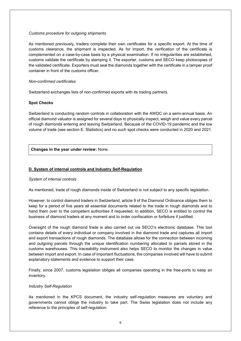#### *Customs procedure for outgoing shipments*

As mentioned previously, traders complete their own certificates for a specific export. At the time of customs clearance, the shipment is inspected. As for import, the verification of the certificate is complemented on a case-by-case basis by a physical examination. If no irregularities are established, customs validate the certificate by stamping it. The exporter, customs and SECO keep photocopies of the validated certificate. Exporters must seal the diamonds together with the certificate in a tamper proof container in front of the customs officer.

#### *Non-confirmed certificates*

Switzerland exchanges lists of non-confirmed exports with its trading partners.

# **Spot Checks**

Switzerland is conducting random controls in collaboration with the AWDC on a semi-annual basis. An official diamond valuator is assigned for several days to physically inspect, weigh and value every parcel of rough diamonds entering and leaving Switzerland. Because of the COVID-19 pandemic and the low volume of trade (see section E. Statistics) and no such spot checks were conducted in 2020 and 2021.

**Changes in the year under review:** None.

# **D. System of internal controls and Industry Self-Regulation**

#### *System of internal controls*

As mentioned, trade of rough diamonds inside of Switzerland is not subject to any specific legislation.

However, to control diamond traders in Switzerland, article 9 of the Diamond Ordinance obliges them to keep for a period of five years all essential documents related to the trade in rough diamonds and to hand them over to the competent authorities if requested. In addition, SECO is entitled to control the business of diamond traders at any moment and to order confiscation or forfeiture if justified.

Oversight of the rough diamond trade is also carried out via SECO's electronic database. This tool contains details of every individual or company involved in the diamond trade and captures all import and export transactions of rough diamonds. The database allows for the connection between incoming and outgoing parcels through the unique identification numbering allocated to parcels stored in the customs warehouses. This traceability instrument also helps SECO to monitor the changes in value between import and export. In case of important fluctuations, the companies involved will have to submit explanatory statements and evidence to support their case.

Finally, since 2007, customs legislation obliges all companies operating in the free-ports to keep an inventory.

#### *Industry Self-Regulation*

As mentioned in the KPCS document, the industry self-regulation measures are voluntary and governments cannot oblige the industry to take part. The Swiss legislation does not include any reference to the principles of self-regulation.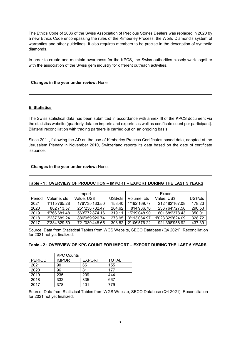The Ethics Code of 2006 of the Swiss Association of Precious Stones Dealers was replaced in 2020 by a new Ethics Code encompassing the rules of the Kimberley Process, the World Diamond's system of warranties and other guidelines. It also requires members to be precise in the description of synthetic diamonds.

In order to create and maintain awareness for the KPCS, the Swiss authorities closely work together with the association of the Swiss gem industry for different outreach activities.

# **Changes in the year under review:** None

# **E. Statistics**

The Swiss statistical data has been submitted in accordance with annex III of the KPCS document via the statistics website (quarterly data on imports and exports, as well as certificate count per participant). Bilateral reconciliation with trading partners is carried out on an ongoing basis.

Since 2011, following the AD on the use of Kimberley Process Certificates based data, adopted at the Jerusalem Plenary in November 2010, Switzerland reports its data based on the date of certificate issuance.

#### **Changes in the year under review:** None.

# **Table - 1 : OVERVIEW OF PRODUCTION – IMPORT – EXPORT DURING THE LAST 5 YEARS**

|        | Import       |                |          | Export       |                  |          |
|--------|--------------|----------------|----------|--------------|------------------|----------|
| Period | Volume, cts  | Value, US\$    | US\$/cts | Volume, cts  | Value, US\$      | US\$/cts |
| 2021   | 1'115'765.28 | 176'735'133.50 | 158.40   | 1'192'169.77 | 212'482'167.08   | 178.23   |
| 2020   | 882'713.57   | 251'238'732.47 | 284.62   | 814'936.70   | 236'764'727.58   | 290.53   |
| 2019   | 1'766'681.48 | 563'772'874.16 | 319.11   | 1'719'048.90 | 601'689'378.43   | 350.01   |
| 2018   | 3'237'689.24 | 886'959'926.74 | 273.95   | 3'113'064.97 | 1'023'329'624.09 | 328.72   |
| 2017   | 2'334'829.50 | 721'039'448.65 | 308.82   | 2'106'576.22 | 921'398'956.92   | 437.39   |

Source: Data from Statistical Tables from WGS Website, SECO Database (Q4 2021), Reconciliation for 2021 not yet finalized.

#### **Table - 2 : OVERVIEW OF KPC COUNT FOR IMPORT – EXPORT DURING THE LAST 5 YEARS**

|               | <b>KPC Counts</b> |               |              |  |  |
|---------------|-------------------|---------------|--------------|--|--|
| <b>PERIOD</b> | <b>IMPORT</b>     | <b>EXPORT</b> | <b>TOTAL</b> |  |  |
| 2021          | 90                | 65            | 155          |  |  |
| 2020          | 96                | 81            | 177          |  |  |
| 2019          | 235               | 209           | 444          |  |  |
| 2018          | 332               | 335           | 667          |  |  |
| 2017          | 378               | 401           | 779          |  |  |

Source: Data from Statistical Tables from WGS Website, SECO Database (Q4 2021), Reconciliation for 2021 not yet finalized.